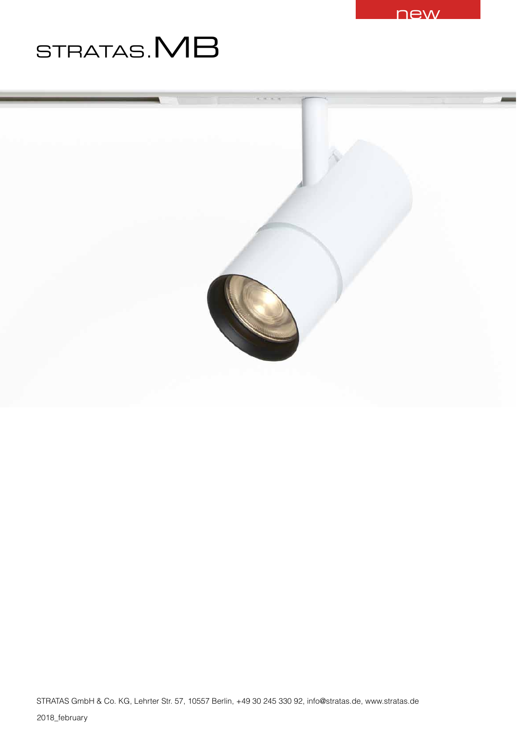

# STRATAS.**MB**

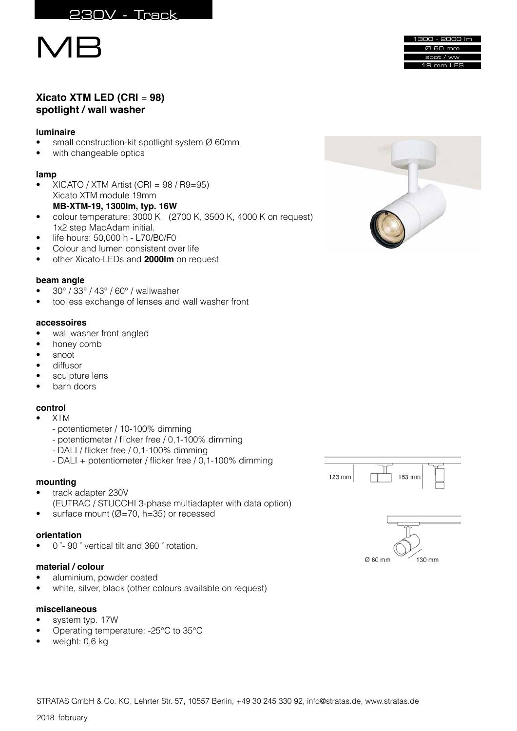



# **Xicato XTM LED (CRI** = **98) spotlight / wall washer**

# **luminaire**

- small construction-kit spotlight system Ø 60mm
- with changeable optics

# **lamp**

- $XICATO / XTM Artist (CRI = 98 / R9=95)$ Xicato XTM module 19mm **MB-XTM-19, 1300Im, typ. 16W**
- colour temperature: 3000 K (2700 K, 3500 K, 4000 K on request) 1x2 step MacAdam initial.
- life hours: 50,000 h L70/B0/F0
- Colour and lumen consistent over life<br>• other Xicato-LEDs and 2000lm on req
- other Xicato-LEDs and **2000lm** on request

# **beam angle**

- 30° / 33° / 43° / 60° / wallwasher
- toolless exchange of lenses and wall washer front

# **accessoires**

- wall washer front angled
- honey comb
- snoot
- diffusor
- sculpture lens
- barn doors

# **control**

- XTM
	- potentiometer / 10-100% dimming
	- potentiometer / flicker free / 0,1-100% dimming
	- DALI / flicker free / 0,1-100% dimming
	- DALI + potentiometer / flicker free / 0,1-100% dimming

#### **mounting**

- track adapter 230V (EUTRAC / STUCCHI 3-phase multiadapter with data option)
- surface mount ( $Ø=70$ , h=35) or recessed

# **orientation**

• 0 ̊- 90 ̊ vertical tilt and 360 ̊ rotation.

# **material / colour**

- aluminium, powder coated
- white, silver, black (other colours available on request)

#### **miscellaneous**

- system typ. 17W
- Operating temperature: -25°C to 35°C
- weight: 0,6 kg